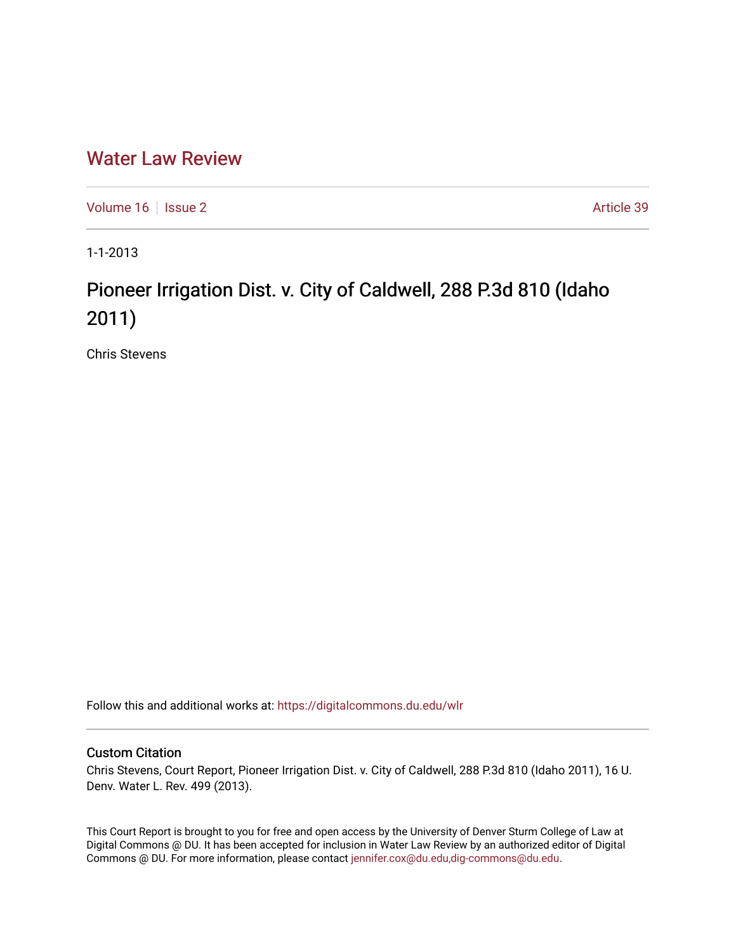# [Water Law Review](https://digitalcommons.du.edu/wlr)

[Volume 16](https://digitalcommons.du.edu/wlr/vol16) | [Issue 2](https://digitalcommons.du.edu/wlr/vol16/iss2) Article 39

1-1-2013

# Pioneer Irrigation Dist. v. City of Caldwell, 288 P.3d 810 (Idaho 2011)

Chris Stevens

Follow this and additional works at: [https://digitalcommons.du.edu/wlr](https://digitalcommons.du.edu/wlr?utm_source=digitalcommons.du.edu%2Fwlr%2Fvol16%2Fiss2%2F39&utm_medium=PDF&utm_campaign=PDFCoverPages) 

## Custom Citation

Chris Stevens, Court Report, Pioneer Irrigation Dist. v. City of Caldwell, 288 P.3d 810 (Idaho 2011), 16 U. Denv. Water L. Rev. 499 (2013).

This Court Report is brought to you for free and open access by the University of Denver Sturm College of Law at Digital Commons @ DU. It has been accepted for inclusion in Water Law Review by an authorized editor of Digital Commons @ DU. For more information, please contact [jennifer.cox@du.edu,dig-commons@du.edu.](mailto:jennifer.cox@du.edu,dig-commons@du.edu)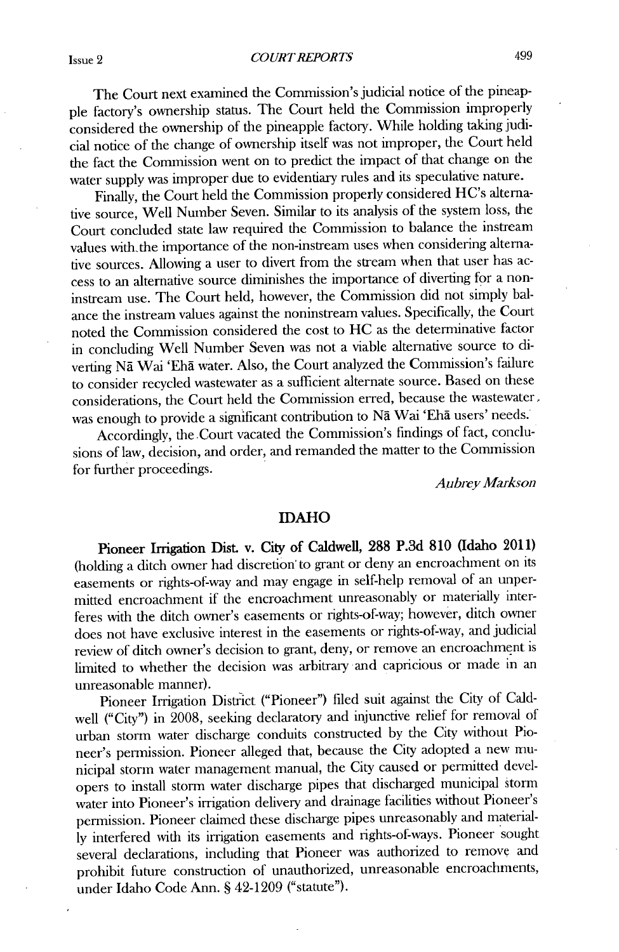The Court next examined the Commission's judicial notice of the pineapple factory's ownership status. The Court **held** the Commission improperly considered the ownership of the pineapple factory. While holding taking judicial notice of the change of ownership itself was not improper, the Court held the fact the Commission went on to predict the impact of that change on the water supply was improper due to evidentiary rules and its speculative nature.

Finally, the Court **held** the Commission properly considered HC's alternative source, Well Number Seven. Similar to its analysis of the system loss, the Court concluded state law required the Commission to balance the instream values with the importance of the non-instream uses when considering alternative sources. Allowing a user to divert from the stream when that user has access to an alternative source diminishes the importance of diverting for a noninstream use. The Court held, however, the Commission did not simply balance the instream values against the noninstream values. Specifically, the Court noted the Commission considered the cost to **HC** as the determinative factor in concluding Well Number Seven was not a viable alternative source to diverting Na Wai 'Eha water. Also, the Court analyzed the Commission's failure to consider recycled wastewater as a sufficient alternate source. Based on these considerations, the Court held the Commission erred, because the wastewater, was enough to provide a significant contribution to **Nd** Wai **'Eha** users' needs.

Accordingly, the .Court vacated the Commission's findings of fact, conclusions of law, decision, and order, and remanded the matter to the Commission for further proceedings.

*Aubrey Markson*

### **IDAHO**

**Pioneer Irrigation Dist. v. City of Caldwell, 288 P.3d 810 (Idaho 2011)** (holding a ditch owner had discretion to grant or deny an encroachment on its easements or rights-of-way and may engage in self-help removal of an unpermitted encroachment if the encroachment unreasonably or materially interferes with the ditch owner's easements or rights-of-way; however, ditch owner does not have exclusive interest in the easements or rights-of-way, and judicial review of ditch owner's decision to grant, deny, or remove an encroachment is limited to whether the decision was arbitrary and capricious or made in an unreasonable manner).

Pioneer Irrigation District ("Pioneer") filed suit against the City of Caldwell ("City") in **2008,** seeking declaratory and injunctive relief for removal of urban storm water discharge conduits constructed **by** the City without Pioneer's permission. Pioneer alleged that, because the City adopted a new municipal storm water management manual, the City caused or permitted developers to install storm water discharge pipes that discharged municipal storm water into Pioneer's irrigation delivery and drainage facilities without Pioneer's permission. Pioneer claimed these discharge pipes unreasonably and material**ly** interfered **with** its irrigation easements and rights-of-ways. Pioneer sought several declarations, including that Pioneer was authorized to remove and prohibit future construction of unauthorized, unreasonable encroachments, under Idaho Code Ann. **§** 42-1209 ("statute").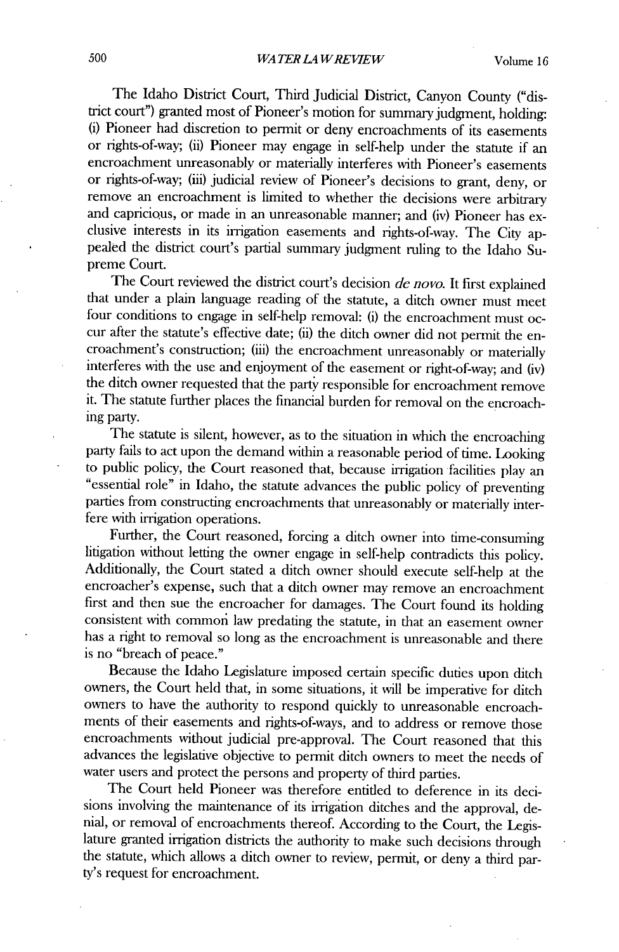The Idaho District Court, Third Judicial District, Canyon County ("district court") granted most of Pioneer's motion for summary judgment, holding: **(i)** Pioneer had discretion to permit or deny encroachments of its easements or rights-of-way; (ii) Pioneer may engage in self-help under the statute **if** an encroachment unreasonably or materially interferes with Pioneer's easements or rights-of-way; (iii) judicial review of Pioneer's decisions to grant, deny, or remove an encroachment is limited to whether the decisions were arbitrary and capricious, or made in an unreasonable manner; and (iv) Pioneer has exclusive interests in its irrigation easements and rights-of-way. The City appealed the district court's partial summary judgment ruling to the Idaho Supreme Court.

The Court reviewed the district court's decision *de novo.* It first explained that under a plain language reading of the statute, a ditch owner must meet four conditions to engage in self-help removal: **(i)** the encroachment must occur after the statute's effective date; **(ii)** the ditch owner **did** not permit the encroachment's construction; (iii) the encroachment unreasonably or materially interferes with the use and enjoyment of the easement or right-of-way; and **(iv)** the ditch owner requested that the party responsible for encroachment remove it. The statute further places the financial burden for removal on the encroaching party.

The statute is silent, however, as to the situation in which the encroaching party fails to act upon the demand within a reasonable period of time. Looking to public policy, the Court reasoned that, because irrigation facilities play an "essential role" in Idaho, the statute advances the public policy of preventing parties from constructing encroachments that unreasonably or materially interfere with irrigation operations.

Further, the Court reasoned, forcing a ditch owner into time-consuming litigation without letting the owner engage in self-help contradicts this policy. Additionally, the Court stated a ditch owner should execute self-help at the encroacher's expense, such that a ditch owner may remove an encroachment first and then sue the encroacher for damages. The Court found its holding consistent with common law predating the statute, in that an easement owner has a right to removal so long as the encroachment is unreasonable and there is no "breach of peace."

Because the Idaho Legislature imposed certain specific duties upon ditch owners, the Court held that, in some situations, it **will be** imperative for ditch owners to have the authority to respond quickly to unreasonable encroachments of their easements and rights-of-ways, and to address or remove those encroachments without judicial pre-approval. The Court reasoned that this advances the legislative objective to permit ditch owners to meet the needs of water users and protect the persons and property of third parties.

The Court held Pioneer was therefore entitled to deference in its decisions involving the maintenance of its irrigation ditches and the approval, denial, or removal of encroachments thereof. According to the Court, the Legislature granted irrigation districts the authority to make such decisions through the statute, which allows a ditch owner to review, permit, or deny a third party's request for encroachment.